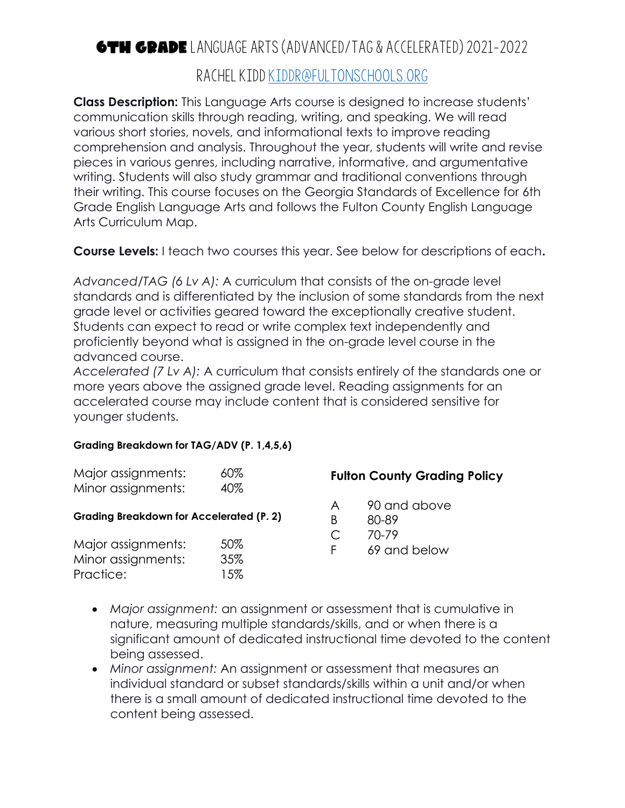## 6th Grade Language Arts (Advanced/tag & Accelerated) 2021-2022 Rachel Kidd kiddr@fultonschools.org

**Class Description:** This Language Arts course is designed to increase students' communication skills through reading, writing, and speaking. We will read various short stories, novels, and informational texts to improve reading comprehension and analysis. Throughout the year, students will write and revise pieces in various genres, including narrative, informative, and argumentative writing. Students will also study grammar and traditional conventions through their writing. This course focuses on the Georgia Standards of Excellence for 6th Grade English Language Arts and follows the Fulton County English Language Arts Curriculum Map.

**Course Levels:** I teach two courses this year. See below for descriptions of each**.**

*Advanced/TAG (6 Lv A):* A curriculum that consists of the on-grade level standards and is differentiated by the inclusion of some standards from the next grade level or activities geared toward the exceptionally creative student. Students can expect to read or write complex text independently and proficiently beyond what is assigned in the on-grade level course in the advanced course.

*Accelerated (7 Lv A):* A curriculum that consists entirely of the standards one or more years above the assigned grade level. Reading assignments for an accelerated course may include content that is considered sensitive for younger students.

## **Grading Breakdown for TAG/ADV (P. 1,4,5,6)**

| Major assignments:<br>Minor assignments:                                                    | $60\%$<br>40% | <b>Fulton County Grading Policy</b> |                                                    |
|---------------------------------------------------------------------------------------------|---------------|-------------------------------------|----------------------------------------------------|
| <b>Grading Breakdown for Accelerated (P. 2)</b><br>Major assignments:<br>Minor assignments: | 50%<br>35%    | A<br>B<br>C<br>F.                   | 90 and above<br>80-89<br>$70 - 79$<br>69 and below |
| Practice:                                                                                   | 15%           |                                     |                                                    |

- *Major assignment:* an assignment or assessment that is cumulative in nature, measuring multiple standards/skills, and or when there is a significant amount of dedicated instructional time devoted to the content being assessed.
- *Minor assignment:* An assignment or assessment that measures an individual standard or subset standards/skills within a unit and/or when there is a small amount of dedicated instructional time devoted to the content being assessed.